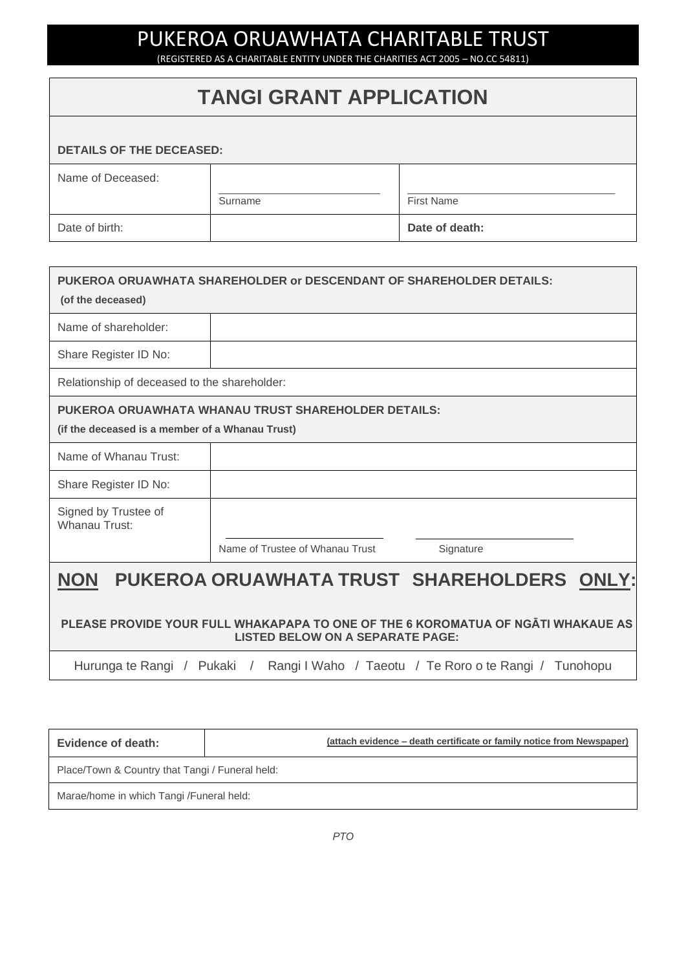# PUKEROA ORUAWHATA CHARITABLE TRUST

(REGISTERED AS A CHARITABLE ENTITY UNDER THE CHARITIES ACT 2005 – NO.CC 54811)

## **TANGI GRANT APPLICATION**

### **DETAILS OF THE DECEASED:**

| Name of Deceased: |         |                   |
|-------------------|---------|-------------------|
|                   | Surname | <b>First Name</b> |
| Date of birth:    |         | Date of death:    |

| PUKEROA ORUAWHATA SHAREHOLDER or DESCENDANT OF SHAREHOLDER DETAILS:<br>(of the deceased)                                    |                                            |           |  |
|-----------------------------------------------------------------------------------------------------------------------------|--------------------------------------------|-----------|--|
|                                                                                                                             |                                            |           |  |
| Name of shareholder:                                                                                                        |                                            |           |  |
| Share Register ID No:                                                                                                       |                                            |           |  |
| Relationship of deceased to the shareholder:                                                                                |                                            |           |  |
| PUKEROA ORUAWHATA WHANAU TRUST SHAREHOLDER DETAILS:<br>(if the deceased is a member of a Whanau Trust)                      |                                            |           |  |
| Name of Whanau Trust:                                                                                                       |                                            |           |  |
| Share Register ID No:                                                                                                       |                                            |           |  |
| Signed by Trustee of<br>Whanau Trust:                                                                                       |                                            |           |  |
|                                                                                                                             | Name of Trustee of Whanau Trust            | Signature |  |
| <b>NON</b>                                                                                                                  | PUKEROA ORUAWHATA TRUST SHAREHOLDERS ONLY: |           |  |
| PLEASE PROVIDE YOUR FULL WHAKAPAPA TO ONE OF THE 6 KOROMATUA OF NGATI WHAKAUE AS<br><b>LISTED BELOW ON A SEPARATE PAGE:</b> |                                            |           |  |

Hurunga te Rangi / Pukaki / Rangi I Waho / Taeotu / Te Roro o te Rangi / Tunohopu

| Evidence of death:                              | (attach evidence - death certificate or family notice from Newspaper) |  |
|-------------------------------------------------|-----------------------------------------------------------------------|--|
| Place/Town & Country that Tangi / Funeral held: |                                                                       |  |
| Marae/home in which Tangi /Funeral held:        |                                                                       |  |